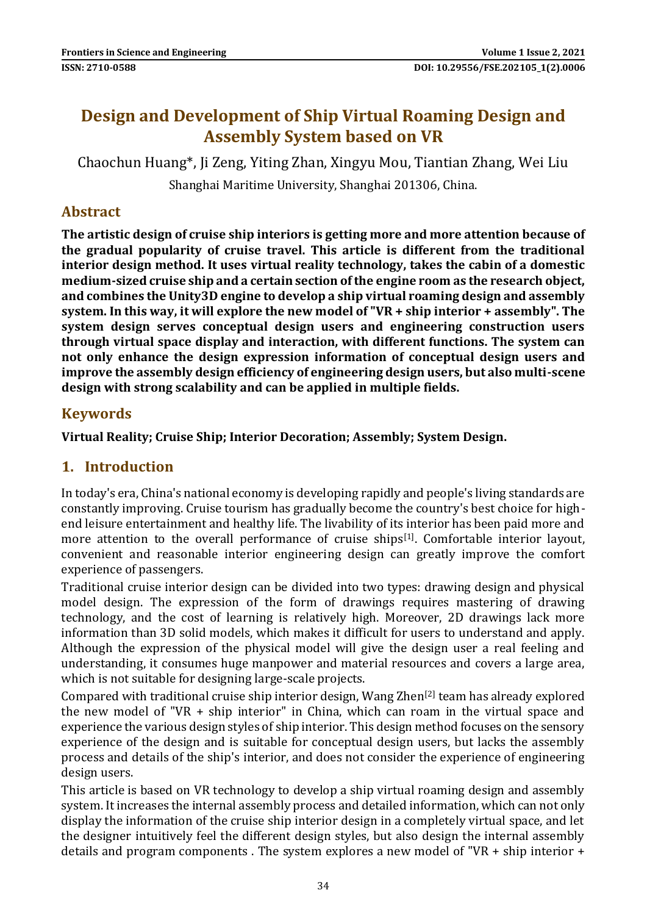# **Design and Development of Ship Virtual Roaming Design and Assembly System based on VR**

Chaochun Huang\*, Ji Zeng, Yiting Zhan, Xingyu Mou, Tiantian Zhang, Wei Liu

Shanghai Maritime University, Shanghai 201306, China.

### **Abstract**

**The artistic design of cruise ship interiors is getting more and more attention because of the gradual popularity of cruise travel. This article is different from the traditional interior design method. It uses virtual reality technology, takes the cabin of a domestic medium-sized cruise ship and a certain section of the engine room as the research object, and combines the Unity3D engine to develop a ship virtual roaming design and assembly system. In this way, it will explore the new model of "VR + ship interior + assembly". The system design serves conceptual design users and engineering construction users through virtual space display and interaction, with different functions. The system can not only enhance the design expression information of conceptual design users and improve the assembly design efficiency of engineering design users, but also multi-scene design with strong scalability and can be applied in multiple fields.**

### **Keywords**

**Virtual Reality; Cruise Ship; Interior Decoration; Assembly; System Design.**

### **1. Introduction**

In today's era, China's national economy is developing rapidly and people's living standards are constantly improving. Cruise tourism has gradually become the country's best choice for highend leisure entertainment and healthy life. The livability of its interior has been paid more and more attention to the overall performance of cruise ships<sup>[1]</sup>. Comfortable interior layout, convenient and reasonable interior engineering design can greatly improve the comfort experience of passengers.

Traditional cruise interior design can be divided into two types: drawing design and physical model design. The expression of the form of drawings requires mastering of drawing technology, and the cost of learning is relatively high. Moreover, 2D drawings lack more information than 3D solid models, which makes it difficult for users to understand and apply. Although the expression of the physical model will give the design user a real feeling and understanding, it consumes huge manpower and material resources and covers a large area, which is not suitable for designing large-scale projects.

Compared with traditional cruise ship interior design, Wang  $\text{Zhen}^{[2]}$  team has already explored the new model of "VR + ship interior" in China, which can roam in the virtual space and experience the various design styles of ship interior. This design method focuses on the sensory experience of the design and is suitable for conceptual design users, but lacks the assembly process and details of the ship's interior, and does not consider the experience of engineering design users.

This article is based on VR technology to develop a ship virtual roaming design and assembly system. It increases the internal assembly process and detailed information, which can not only display the information of the cruise ship interior design in a completely virtual space, and let the designer intuitively feel the different design styles, but also design the internal assembly details and program components . The system explores a new model of "VR + ship interior +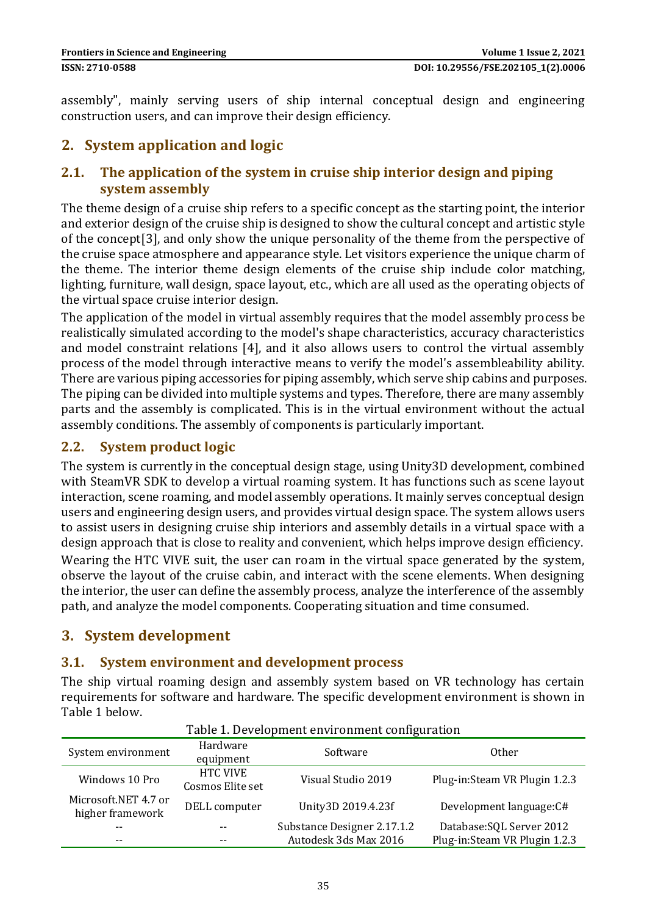assembly", mainly serving users of ship internal conceptual design and engineering construction users, and can improve their design efficiency.

## **2. System application and logic**

### **2.1. The application of the system in cruise ship interior design and piping system assembly**

The theme design of a cruise ship refers to a specific concept as the starting point, the interior and exterior design of the cruise ship is designed to show the cultural concept and artistic style of the concept[3], and only show the unique personality of the theme from the perspective of the cruise space atmosphere and appearance style. Let visitors experience the unique charm of the theme. The interior theme design elements of the cruise ship include color matching, lighting, furniture, wall design, space layout, etc., which are all used as the operating objects of the virtual space cruise interior design.

The application of the model in virtual assembly requires that the model assembly process be realistically simulated according to the model's shape characteristics, accuracy characteristics and model constraint relations [4], and it also allows users to control the virtual assembly process of the model through interactive means to verify the model's assembleability ability. There are various piping accessories for piping assembly, which serve ship cabins and purposes. The piping can be divided into multiple systems and types. Therefore, there are many assembly parts and the assembly is complicated. This is in the virtual environment without the actual assembly conditions. The assembly of components is particularly important.

### **2.2. System product logic**

The system is currently in the conceptual design stage, using Unity3D development, combined with SteamVR SDK to develop a virtual roaming system. It has functions such as scene layout interaction, scene roaming, and model assembly operations. It mainly serves conceptual design users and engineering design users, and provides virtual design space. The system allows users to assist users in designing cruise ship interiors and assembly details in a virtual space with a design approach that is close to reality and convenient, which helps improve design efficiency.

Wearing the HTC VIVE suit, the user can roam in the virtual space generated by the system, observe the layout of the cruise cabin, and interact with the scene elements. When designing the interior, the user can define the assembly process, analyze the interference of the assembly path, and analyze the model components. Cooperating situation and time consumed.

## **3. System development**

### **3.1. System environment and development process**

The ship virtual roaming design and assembly system based on VR technology has certain requirements for software and hardware. The specific development environment is shown in Table 1 below.

| Table 1. Development environment connigui adoli |                                     |                             |                                |
|-------------------------------------------------|-------------------------------------|-----------------------------|--------------------------------|
| System environment                              | Hardware<br>equipment               | Software                    | <b>Other</b>                   |
| Windows 10 Pro                                  | <b>HTC VIVE</b><br>Cosmos Elite set | Visual Studio 2019          | Plug-in: Steam VR Plugin 1.2.3 |
| Microsoft.NET 4.7 or<br>higher framework        | DELL computer                       | Unity3D 2019.4.23f          | Development language: C#       |
| $- -$                                           |                                     | Substance Designer 2.17.1.2 | Database: SQL Server 2012      |
| $- -$                                           |                                     | Autodesk 3ds Max 2016       | Plug-in:Steam VR Plugin 1.2.3  |

#### Table 1. Development environment configuration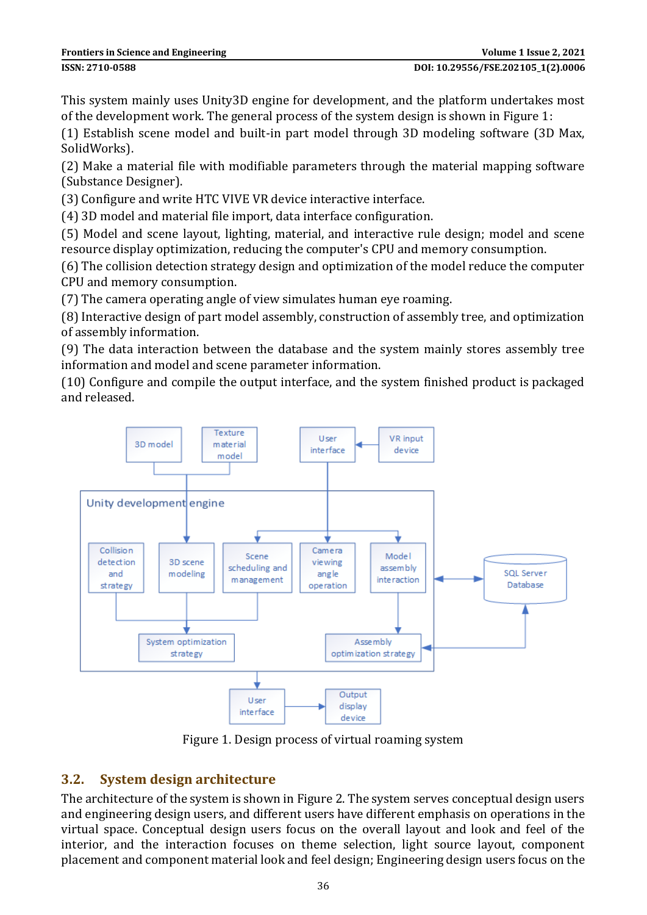This system mainly uses Unity3D engine for development, and the platform undertakes most of the development work. The general process of the system design is shown in Figure 1:

(1) Establish scene model and built-in part model through 3D modeling software (3D Max, SolidWorks).

(2) Make a material file with modifiable parameters through the material mapping software (Substance Designer).

(3) Configure and write HTC VIVE VR device interactive interface.

(4) 3D model and material file import, data interface configuration.

(5) Model and scene layout, lighting, material, and interactive rule design; model and scene resource display optimization, reducing the computer's CPU and memory consumption.

(6) The collision detection strategy design and optimization of the model reduce the computer CPU and memory consumption.

(7) The camera operating angle of view simulates human eye roaming.

(8) Interactive design of part model assembly, construction of assembly tree, and optimization of assembly information.

(9) The data interaction between the database and the system mainly stores assembly tree information and model and scene parameter information.

(10) Configure and compile the output interface, and the system finished product is packaged and released.



Figure 1. Design process of virtual roaming system

### **3.2. System design architecture**

The architecture of the system is shown in Figure 2. The system serves conceptual design users and engineering design users, and different users have different emphasis on operations in the virtual space. Conceptual design users focus on the overall layout and look and feel of the interior, and the interaction focuses on theme selection, light source layout, component placement and component material look and feel design; Engineering design users focus on the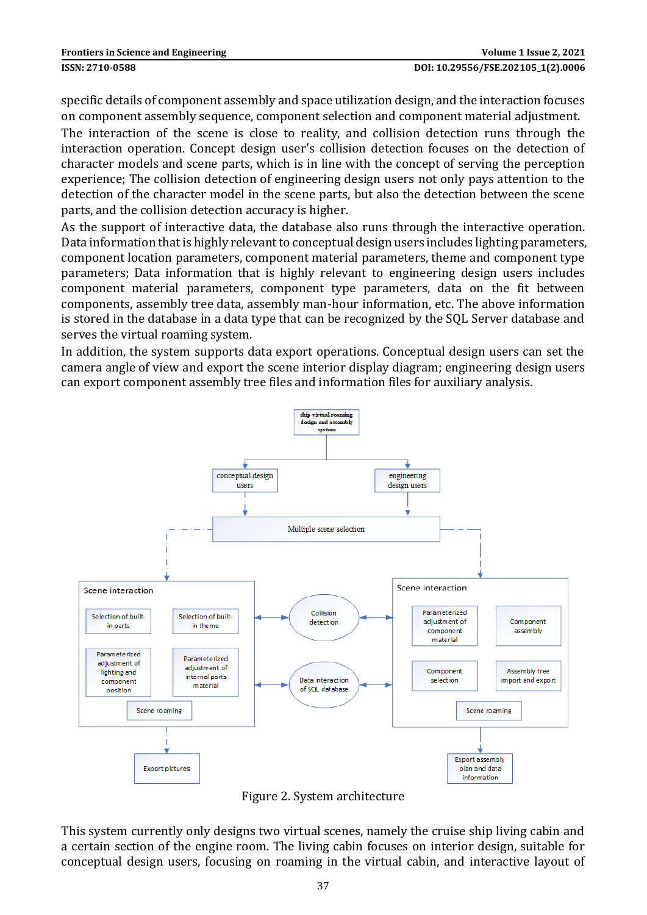specific details of component assembly and space utilization design, and the interaction focuses on component assembly sequence, component selection and component material adjustment.

The interaction of the scene is close to reality, and collision detection runs through the interaction operation. Concept design user's collision detection focuses on the detection of character models and scene parts, which is in line with the concept of serving the perception experience; The collision detection of engineering design users not only pays attention to the detection of the character model in the scene parts, but also the detection between the scene parts, and the collision detection accuracy is higher.

As the support of interactive data, the database also runs through the interactive operation. Data information that is highly relevant to conceptual design users includes lighting parameters, component location parameters, component material parameters, theme and component type parameters; Data information that is highly relevant to engineering design users includes component material parameters, component type parameters, data on the fit between components, assembly tree data, assembly man-hour information, etc. The above information is stored in the database in a data type that can be recognized by the SQL Server database and serves the virtual roaming system.

In addition, the system supports data export operations. Conceptual design users can set the camera angle of view and export the scene interior display diagram; engineering design users can export component assembly tree files and information files for auxiliary analysis.



Figure 2. System architecture

This system currently only designs two virtual scenes, namely the cruise ship living cabin and a certain section of the engine room. The living cabin focuses on interior design, suitable for conceptual design users, focusing on roaming in the virtual cabin, and interactive layout of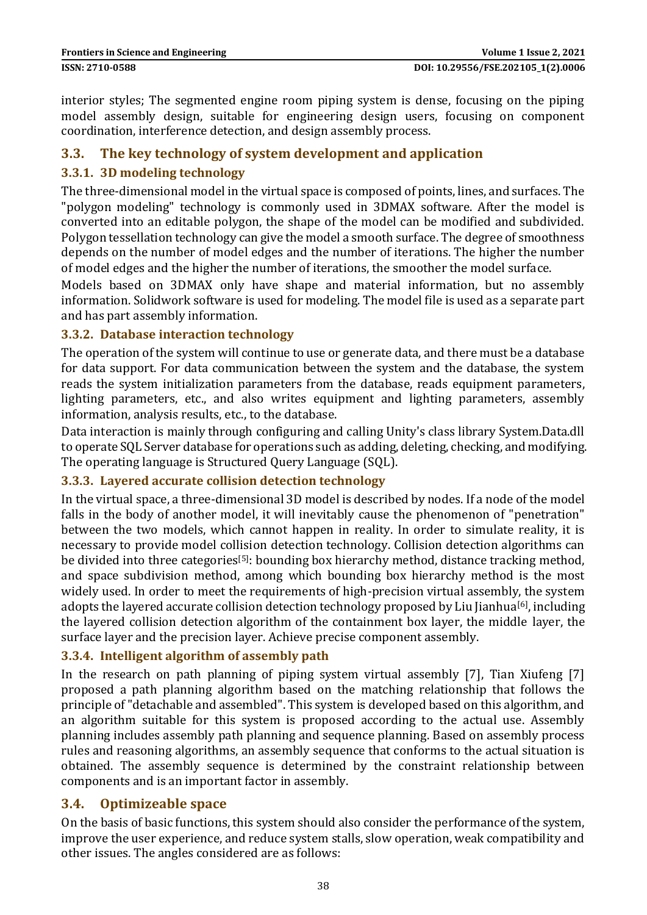interior styles; The segmented engine room piping system is dense, focusing on the piping model assembly design, suitable for engineering design users, focusing on component coordination, interference detection, and design assembly process.

#### **3.3. The key technology of system development and application**

#### **3.3.1. 3D modeling technology**

The three-dimensional model in the virtual space is composed of points, lines, and surfaces. The "polygon modeling" technology is commonly used in 3DMAX software. After the model is converted into an editable polygon, the shape of the model can be modified and subdivided. Polygon tessellation technology can give the model a smooth surface. The degree of smoothness depends on the number of model edges and the number of iterations. The higher the number of model edges and the higher the number of iterations, the smoother the model surface.

Models based on 3DMAX only have shape and material information, but no assembly information. Solidwork software is used for modeling. The model file is used as a separate part and has part assembly information.

#### **3.3.2. Database interaction technology**

The operation of the system will continue to use or generate data, and there must be a database for data support. For data communication between the system and the database, the system reads the system initialization parameters from the database, reads equipment parameters, lighting parameters, etc., and also writes equipment and lighting parameters, assembly information, analysis results, etc., to the database.

Data interaction is mainly through configuring and calling Unity's class library System.Data.dll to operate SQL Server database for operations such as adding, deleting, checking, and modifying. The operating language is Structured Query Language (SQL).

#### **3.3.3. Layered accurate collision detection technology**

In the virtual space, a three-dimensional 3D model is described by nodes. If a node of the model falls in the body of another model, it will inevitably cause the phenomenon of "penetration" between the two models, which cannot happen in reality. In order to simulate reality, it is necessary to provide model collision detection technology. Collision detection algorithms can be divided into three categories<sup>[5]</sup>; bounding box hierarchy method, distance tracking method, and space subdivision method, among which bounding box hierarchy method is the most widely used. In order to meet the requirements of high-precision virtual assembly, the system adopts the layered accurate collision detection technology proposed by Liu Jianhua<sup>[6]</sup>, including the layered collision detection algorithm of the containment box layer, the middle layer, the surface layer and the precision layer. Achieve precise component assembly.

#### **3.3.4. Intelligent algorithm of assembly path**

In the research on path planning of piping system virtual assembly [7], Tian Xiufeng [7] proposed a path planning algorithm based on the matching relationship that follows the principle of "detachable and assembled". This system is developed based on this algorithm, and an algorithm suitable for this system is proposed according to the actual use. Assembly planning includes assembly path planning and sequence planning. Based on assembly process rules and reasoning algorithms, an assembly sequence that conforms to the actual situation is obtained. The assembly sequence is determined by the constraint relationship between components and is an important factor in assembly.

#### **3.4. Optimizeable space**

On the basis of basic functions, this system should also consider the performance of the system, improve the user experience, and reduce system stalls, slow operation, weak compatibility and other issues. The angles considered are as follows: